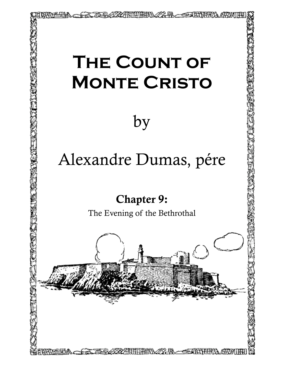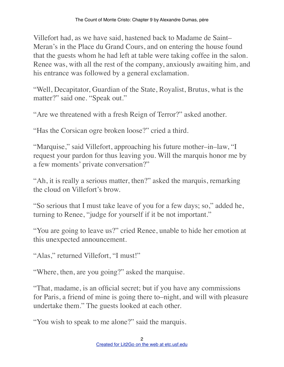Villefort had, as we have said, hastened back to Madame de Saint– Meran's in the Place du Grand Cours, and on entering the house found that the guests whom he had left at table were taking coffee in the salon. Renee was, with all the rest of the company, anxiously awaiting him, and his entrance was followed by a general exclamation.

"Well, Decapitator, Guardian of the State, Royalist, Brutus, what is the matter?" said one. "Speak out."

"Are we threatened with a fresh Reign of Terror?" asked another.

"Has the Corsican ogre broken loose?" cried a third.

"Marquise," said Villefort, approaching his future mother–in–law, "I request your pardon for thus leaving you. Will the marquis honor me by a few moments' private conversation?"

"Ah, it is really a serious matter, then?" asked the marquis, remarking the cloud on Villefort's brow.

"So serious that I must take leave of you for a few days; so," added he, turning to Renee, "judge for yourself if it be not important."

"You are going to leave us?" cried Renee, unable to hide her emotion at this unexpected announcement.

"Alas," returned Villefort, "I must!"

"Where, then, are you going?" asked the marquise.

"That, madame, is an official secret; but if you have any commissions for Paris, a friend of mine is going there to–night, and will with pleasure undertake them." The guests looked at each other.

"You wish to speak to me alone?" said the marquis.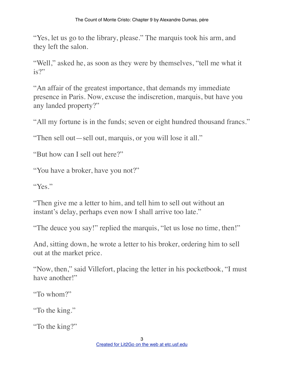"Yes, let us go to the library, please." The marquis took his arm, and they left the salon.

"Well," asked he, as soon as they were by themselves, "tell me what it is?"

"An affair of the greatest importance, that demands my immediate presence in Paris. Now, excuse the indiscretion, marquis, but have you any landed property?"

"All my fortune is in the funds; seven or eight hundred thousand francs."

"Then sell out—sell out, marquis, or you will lose it all."

"But how can I sell out here?"

"You have a broker, have you not?"

"Yes."

"Then give me a letter to him, and tell him to sell out without an instant's delay, perhaps even now I shall arrive too late."

"The deuce you say!" replied the marquis, "let us lose no time, then!"

And, sitting down, he wrote a letter to his broker, ordering him to sell out at the market price.

"Now, then," said Villefort, placing the letter in his pocketbook, "I must have another!"

"To whom?"

"To the king."

"To the king?"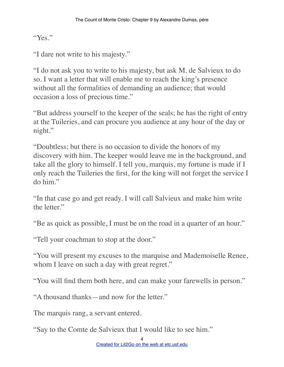"Yes."

"I dare not write to his majesty."

"I do not ask you to write to his majesty, but ask M. de Salvieux to do so. I want a letter that will enable me to reach the king's presence without all the formalities of demanding an audience; that would occasion a loss of precious time."

"But address yourself to the keeper of the seals; he has the right of entry at the Tuileries, and can procure you audience at any hour of the day or night."

"Doubtless; but there is no occasion to divide the honors of my discovery with him. The keeper would leave me in the background, and take all the glory to himself. I tell you, marquis, my fortune is made if I only reach the Tuileries the first, for the king will not forget the service I do him."

"In that case go and get ready. I will call Salvieux and make him write the letter."

"Be as quick as possible, I must be on the road in a quarter of an hour."

"Tell your coachman to stop at the door."

"You will present my excuses to the marquise and Mademoiselle Renee, whom I leave on such a day with great regret."

"You will find them both here, and can make your farewells in person."

"A thousand thanks—and now for the letter."

The marquis rang, a servant entered.

"Say to the Comte de Salvieux that I would like to see him."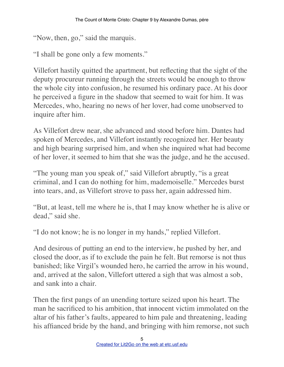"Now, then, go," said the marquis.

"I shall be gone only a few moments."

Villefort hastily quitted the apartment, but reflecting that the sight of the deputy procureur running through the streets would be enough to throw the whole city into confusion, he resumed his ordinary pace. At his door he perceived a figure in the shadow that seemed to wait for him. It was Mercedes, who, hearing no news of her lover, had come unobserved to inquire after him.

As Villefort drew near, she advanced and stood before him. Dantes had spoken of Mercedes, and Villefort instantly recognized her. Her beauty and high bearing surprised him, and when she inquired what had become of her lover, it seemed to him that she was the judge, and he the accused.

"The young man you speak of," said Villefort abruptly, "is a great criminal, and I can do nothing for him, mademoiselle." Mercedes burst into tears, and, as Villefort strove to pass her, again addressed him.

"But, at least, tell me where he is, that I may know whether he is alive or dead," said she.

"I do not know; he is no longer in my hands," replied Villefort.

And desirous of putting an end to the interview, he pushed by her, and closed the door, as if to exclude the pain he felt. But remorse is not thus banished; like Virgil's wounded hero, he carried the arrow in his wound, and, arrived at the salon, Villefort uttered a sigh that was almost a sob, and sank into a chair.

Then the first pangs of an unending torture seized upon his heart. The man he sacrificed to his ambition, that innocent victim immolated on the altar of his father's faults, appeared to him pale and threatening, leading his affianced bride by the hand, and bringing with him remorse, not such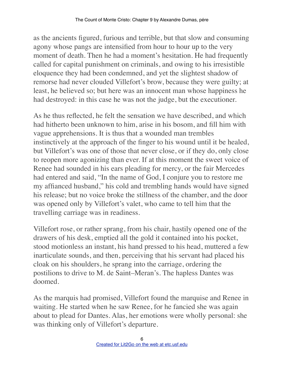as the ancients figured, furious and terrible, but that slow and consuming agony whose pangs are intensified from hour to hour up to the very moment of death. Then he had a moment's hesitation. He had frequently called for capital punishment on criminals, and owing to his irresistible eloquence they had been condemned, and yet the slightest shadow of remorse had never clouded Villefort's brow, because they were guilty; at least, he believed so; but here was an innocent man whose happiness he had destroyed: in this case he was not the judge, but the executioner.

As he thus reflected, he felt the sensation we have described, and which had hitherto been unknown to him, arise in his bosom, and fill him with vague apprehensions. It is thus that a wounded man trembles instinctively at the approach of the finger to his wound until it be healed, but Villefort's was one of those that never close, or if they do, only close to reopen more agonizing than ever. If at this moment the sweet voice of Renee had sounded in his ears pleading for mercy, or the fair Mercedes had entered and said, "In the name of God, I conjure you to restore me my affianced husband," his cold and trembling hands would have signed his release; but no voice broke the stillness of the chamber, and the door was opened only by Villefort's valet, who came to tell him that the travelling carriage was in readiness.

Villefort rose, or rather sprang, from his chair, hastily opened one of the drawers of his desk, emptied all the gold it contained into his pocket, stood motionless an instant, his hand pressed to his head, muttered a few inarticulate sounds, and then, perceiving that his servant had placed his cloak on his shoulders, he sprang into the carriage, ordering the postilions to drive to M. de Saint–Meran's. The hapless Dantes was doomed.

As the marquis had promised, Villefort found the marquise and Renee in waiting. He started when he saw Renee, for he fancied she was again about to plead for Dantes. Alas, her emotions were wholly personal: she was thinking only of Villefort's departure.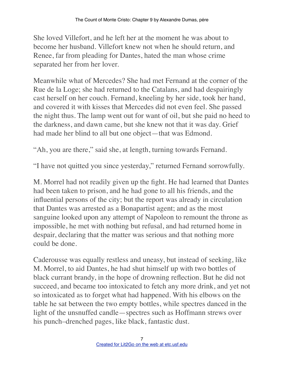She loved Villefort, and he left her at the moment he was about to become her husband. Villefort knew not when he should return, and Renee, far from pleading for Dantes, hated the man whose crime separated her from her lover.

Meanwhile what of Mercedes? She had met Fernand at the corner of the Rue de la Loge; she had returned to the Catalans, and had despairingly cast herself on her couch. Fernand, kneeling by her side, took her hand, and covered it with kisses that Mercedes did not even feel. She passed the night thus. The lamp went out for want of oil, but she paid no heed to the darkness, and dawn came, but she knew not that it was day. Grief had made her blind to all but one object—that was Edmond.

"Ah, you are there," said she, at length, turning towards Fernand.

"I have not quitted you since yesterday," returned Fernand sorrowfully.

M. Morrel had not readily given up the fight. He had learned that Dantes had been taken to prison, and he had gone to all his friends, and the influential persons of the city; but the report was already in circulation that Dantes was arrested as a Bonapartist agent; and as the most sanguine looked upon any attempt of Napoleon to remount the throne as impossible, he met with nothing but refusal, and had returned home in despair, declaring that the matter was serious and that nothing more could be done.

Caderousse was equally restless and uneasy, but instead of seeking, like M. Morrel, to aid Dantes, he had shut himself up with two bottles of black currant brandy, in the hope of drowning reflection. But he did not succeed, and became too intoxicated to fetch any more drink, and yet not so intoxicated as to forget what had happened. With his elbows on the table he sat between the two empty bottles, while spectres danced in the light of the unsnuffed candle—spectres such as Hoffmann strews over his punch–drenched pages, like black, fantastic dust.